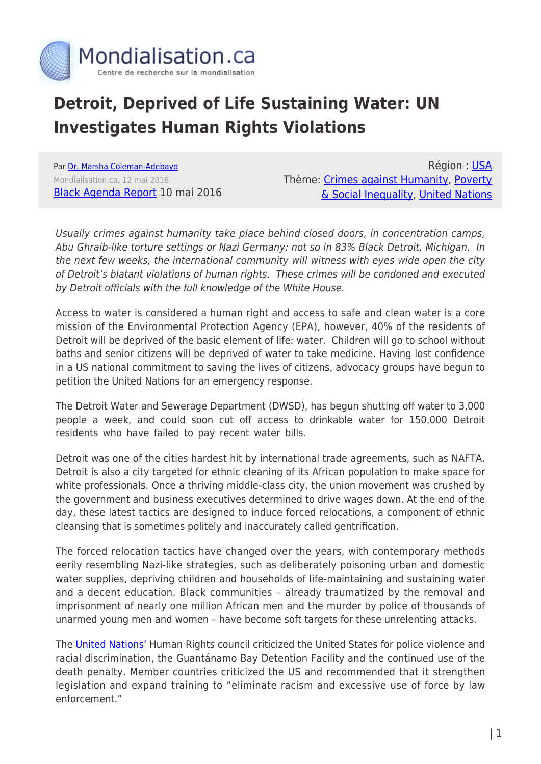

## **Detroit, Deprived of Life Sustaining Water: UN Investigates Human Rights Violations**

Par [Dr. Marsha Coleman-Adebayo](https://www.mondialisation.ca/author/dr-marsha-coleman-adebayo) Mondialisation.ca, 12 mai 2016 [Black Agenda Report](http://www.blackagendareport.com/detroit_human_rights_violations) 10 mai 2016

Région : [USA](https://www.mondialisation.ca/region/usa) Thème: [Crimes against Humanity](https://www.mondialisation.ca/theme/crimes-against-humanity), [Poverty](https://www.mondialisation.ca/theme/poverty-social-inequality) [& Social Inequality,](https://www.mondialisation.ca/theme/poverty-social-inequality) [United Nations](https://www.mondialisation.ca/theme/united-nations)

Usually crimes against humanity take place behind closed doors, in concentration camps, Abu Ghraib-like torture settings or Nazi Germany; not so in 83% Black Detroit, Michigan. In the next few weeks, the international community will witness with eyes wide open the city of Detroit's blatant violations of human rights. These crimes will be condoned and executed by Detroit officials with the full knowledge of the White House.

Access to water is considered a human right and access to safe and clean water is a core mission of the Environmental Protection Agency (EPA), however, 40% of the residents of Detroit will be deprived of the basic element of life: water. Children will go to school without baths and senior citizens will be deprived of water to take medicine. Having lost confidence in a US national commitment to saving the lives of citizens, advocacy groups have begun to petition the United Nations for an emergency response.

The Detroit Water and Sewerage Department (DWSD), has begun shutting off water to 3,000 people a week, and could soon cut off access to drinkable water for 150,000 Detroit residents who have failed to pay recent water bills.

Detroit was one of the cities hardest hit by international trade agreements, such as NAFTA. Detroit is also a city targeted for ethnic cleaning of its African population to make space for white professionals. Once a thriving middle-class city, the union movement was crushed by the government and business executives determined to drive wages down. At the end of the day, these latest tactics are designed to induce forced relocations, a component of ethnic cleansing that is sometimes politely and inaccurately called gentrification.

The forced relocation tactics have changed over the years, with contemporary methods eerily resembling Nazi-like strategies, such as deliberately poisoning urban and domestic water supplies, depriving children and households of life-maintaining and sustaining water and a decent education. Black communities – already traumatized by the removal and imprisonment of nearly one million African men and the murder by police of thousands of unarmed young men and women – have become soft targets for these unrelenting attacks.

The [United Nations'](http://america.aljazeera.com/articles/2015/5/11/us-faces-scathing-un-review-on-human-rights-record.html) Human Rights council criticized the United States for police violence and racial discrimination, the Guantánamo Bay Detention Facility and the continued use of the death penalty. Member countries criticized the US and recommended that it strengthen legislation and expand training to "eliminate racism and excessive use of force by law enforcement."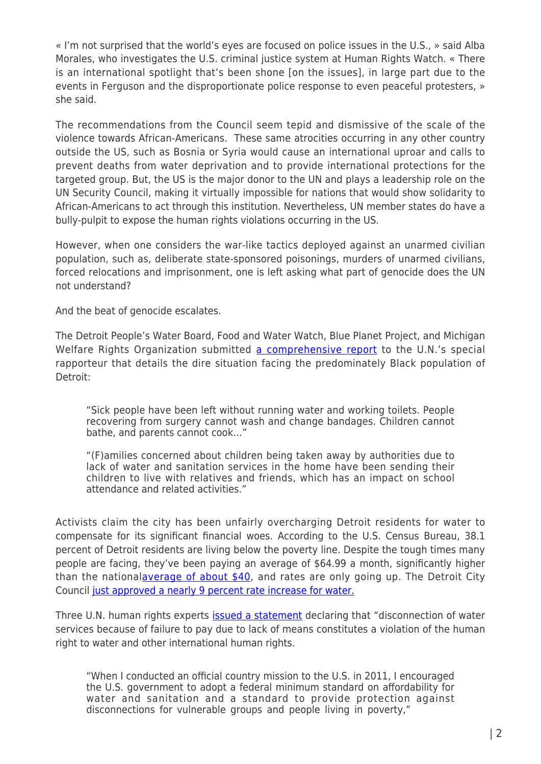« I'm not surprised that the world's eyes are focused on police issues in the U.S., » said Alba Morales, who investigates the U.S. criminal justice system at Human Rights Watch. « There is an international spotlight that's been shone [on the issues], in large part due to the events in Ferguson and the disproportionate police response to even peaceful protesters, » she said.

The recommendations from the Council seem tepid and dismissive of the scale of the violence towards African-Americans. These same atrocities occurring in any other country outside the US, such as Bosnia or Syria would cause an international uproar and calls to prevent deaths from water deprivation and to provide international protections for the targeted group. But, the US is the major donor to the UN and plays a leadership role on the UN Security Council, making it virtually impossible for nations that would show solidarity to African-Americans to act through this institution. Nevertheless, UN member states do have a bully-pulpit to expose the human rights violations occurring in the US.

However, when one considers the war-like tactics deployed against an unarmed civilian population, such as, deliberate state-sponsored poisonings, murders of unarmed civilians, forced relocations and imprisonment, one is left asking what part of genocide does the UN not understand?

And the beat of genocide escalates.

The Detroit People's Water Board, Food and Water Watch, Blue Planet Project, and Michigan Welfare Rights Organization submitted [a comprehensive report](http://www.blueplanetproject.net/wordpress/wp-content/uploads/Detroit-HRTW-submission-June-18-2014.pdf) to the U.N.'s special rapporteur that details the dire situation facing the predominately Black population of Detroit:

"Sick people have been left without running water and working toilets. People recovering from surgery cannot wash and change bandages. Children cannot bathe, and parents cannot cook…"

"(F)amilies concerned about children being taken away by authorities due to lack of water and sanitation services in the home have been sending their children to live with relatives and friends, which has an impact on school attendance and related activities."

Activists claim the city has been unfairly overcharging Detroit residents for water to compensate for its significant financial woes. According to the U.S. Census Bureau, 38.1 percent of Detroit residents are living below the poverty line. Despite the tough times many people are facing, they've been paying an average of \$64.99 a month, significantly higher than the nationa[laverage of about \\$40,](http://www.epa.gov/safewater/wot/pdfs/book_waterontap_full.pdf) and rates are only going up. The Detroit City Council [just approved a nearly 9 percent rate increase for water.](http://www.freep.com/article/20140617/NEWS01/306170107/City-Council-water-rate-hike)

Three U.N. human rights experts [issued a statement](http://www.ohchr.org/EN/NewsEvents/Pages/DisplayNews.aspx?NewsID=14777&LangID=E) declaring that "disconnection of water services because of failure to pay due to lack of means constitutes a violation of the human right to water and other international human rights.

"When I conducted an official country mission to the U.S. in 2011, I encouraged the U.S. government to adopt a federal minimum standard on affordability for water and sanitation and a standard to provide protection against disconnections for vulnerable groups and people living in poverty,"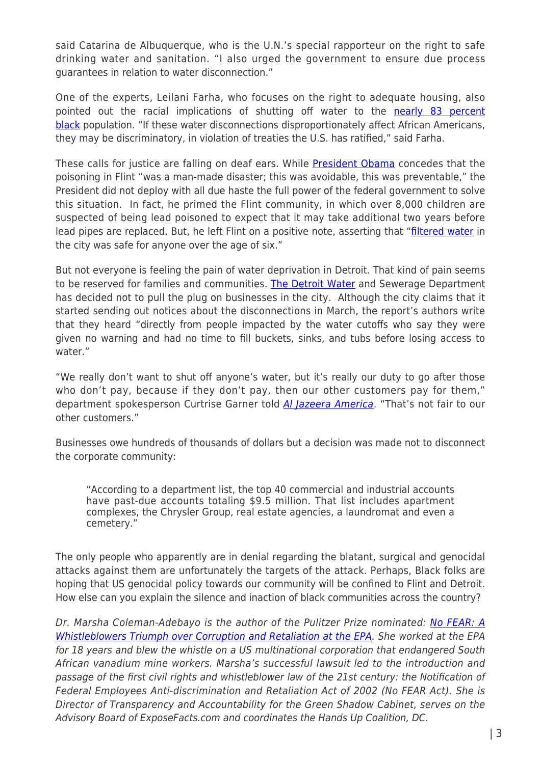said Catarina de Albuquerque, who is the U.N.'s special rapporteur on the right to safe drinking water and sanitation. "I also urged the government to ensure due process guarantees in relation to water disconnection."

One of the experts, Leilani Farha, who focuses on the right to adequate housing, also pointed out the racial implications of shutting off water to the [nearly 83 percent](http://quickfacts.census.gov/qfd/states/26/2622000.html) [black](http://quickfacts.census.gov/qfd/states/26/2622000.html) population. "If these water disconnections disproportionately affect African Americans, they may be discriminatory, in violation of treaties the U.S. has ratified," said Farha.

These calls for justice are falling on deaf ears. While [President Obama](http://beta.portal.tds.net/news/read/article/afp-obama_warns_flint_water_crisis_may_take_two_years-afp) concedes that the poisoning in Flint "was a man-made disaster; this was avoidable, this was preventable," the President did not deploy with all due haste the full power of the federal government to solve this situation. In fact, he primed the Flint community, in which over 8,000 children are suspected of being lead poisoned to expect that it may take additional two years before lead pipes are replaced. But, he left Flint on a positive note, asserting that "[filtered water](http://www.businessinsider.com/r-obama-filtered-water-in-flint-is-safe-for-kids-over-6-years-old-2016-5) in the city was safe for anyone over the age of six."

But not everyone is feeling the pain of water deprivation in Detroit. That kind of pain seems to be reserved for families and communities. [The Detroit Water](http://www.thedailybeast.com/articles/2014/07/26/detroit-shuts-off-water-to-residents-but-not-to-businesses-who-owe-millions.html) and Sewerage Department has decided not to pull the plug on businesses in the city. Although the city claims that it started sending out notices about the disconnections in March, the report's authors write that they heard "directly from people impacted by the water cutoffs who say they were given no warning and had no time to fill buckets, sinks, and tubs before losing access to water."

"We really don't want to shut off anyone's water, but it's really our duty to go after those who don't pay, because if they don't pay, then our other customers pay for them," department spokesperson Curtrise Garner told [Al Jazeera America](http://america.aljazeera.com/articles/2014/6/22/detroit-water-un.html). "That's not fair to our other customers."

Businesses owe hundreds of thousands of dollars but a decision was made not to disconnect the corporate community:

"According to a department list, the top 40 commercial and industrial accounts have past-due accounts totaling \$9.5 million. That list includes apartment complexes, the Chrysler Group, real estate agencies, a laundromat and even a cemetery."

The only people who apparently are in denial regarding the blatant, surgical and genocidal attacks against them are unfortunately the targets of the attack. Perhaps, Black folks are hoping that US genocidal policy towards our community will be confined to Flint and Detroit. How else can you explain the silence and inaction of black communities across the country?

Dr. Marsha Coleman-Adebayo is the author of the Pulitzer Prize nominated: [No FEAR: A](http://www.amazon.com/No-Fear-Whistleblowers-Corruption-Retaliation/dp/1556528183/ref=sr_1_1?ie=UTF8&qid=1427068270&sr=8-1&keywords=marsha+coleman-adebayo) [Whistleblowers Triumph over Corruption and Retaliation at the EPA](http://www.amazon.com/No-Fear-Whistleblowers-Corruption-Retaliation/dp/1556528183/ref=sr_1_1?ie=UTF8&qid=1427068270&sr=8-1&keywords=marsha+coleman-adebayo). She worked at the EPA for 18 years and blew the whistle on a US multinational corporation that endangered South African vanadium mine workers. Marsha's successful lawsuit led to the introduction and passage of the first civil rights and whistleblower law of the 21st century: the Notification of Federal Employees Anti-discrimination and Retaliation Act of 2002 (No FEAR Act). She is Director of Transparency and Accountability for the Green Shadow Cabinet, serves on the Advisory Board of ExposeFacts.com and coordinates the Hands Up Coalition, DC.